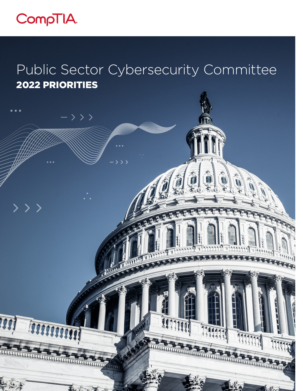

>>>

 $-$ >>>

# Public Sector Cybersecurity Committee 2022 PRIORITIES

1

114

1111



五十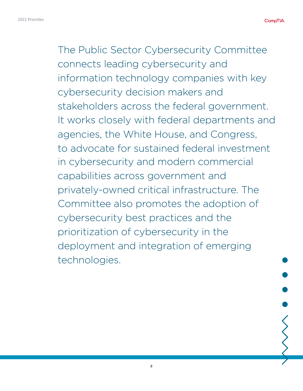The Public Sector Cybersecurity Committee connects leading cybersecurity and information technology companies with key cybersecurity decision makers and stakeholders across the federal government. It works closely with federal departments and agencies, the White House, and Congress, to advocate for sustained federal investment in cybersecurity and modern commercial capabilities across government and privately-owned critical infrastructure. The Committee also promotes the adoption of cybersecurity best practices and the prioritization of cybersecurity in the deployment and integration of emerging technologies.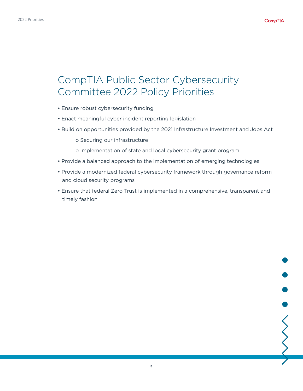### CompTIA Public Sector Cybersecurity Committee 2022 Policy Priorities

- Ensure robust cybersecurity funding
- Enact meaningful cyber incident reporting legislation
- Build on opportunities provided by the 2021 Infrastructure Investment and Jobs Act
	- o Securing our infrastructure
	- o Implementation of state and local cybersecurity grant program
- Provide a balanced approach to the implementation of emerging technologies
- Provide a modernized federal cybersecurity framework through governance reform and cloud security programs
- Ensure that federal Zero Trust is implemented in a comprehensive, transparent and timely fashion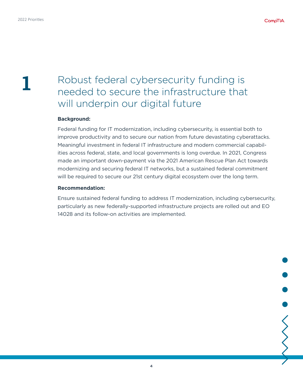# **1**

## Robust federal cybersecurity funding is needed to secure the infrastructure that will underpin our digital future

### **Background:**

Federal funding for IT modernization, including cybersecurity, is essential both to improve productivity and to secure our nation from future devastating cyberattacks. Meaningful investment in federal IT infrastructure and modern commercial capabilities across federal, state, and local governments is long overdue. In 2021, Congress made an important down-payment via the 2021 American Rescue Plan Act towards modernizing and securing federal IT networks, but a sustained federal commitment will be required to secure our 21st century digital ecosystem over the long term.

#### **Recommendation:**

Ensure sustained federal funding to address IT modernization, including cybersecurity, particularly as new federally-supported infrastructure projects are rolled out and EO 14028 and its follow-on activities are implemented.

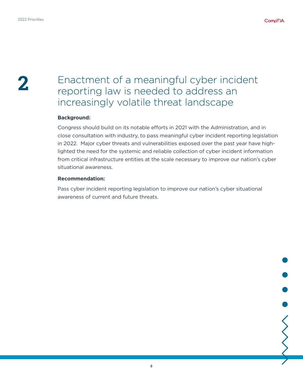### **2** Enactment of a meaningful cyber incident reporting law is needed to address an increasingly volatile threat landscape

#### **Background:**

Congress should build on its notable efforts in 2021 with the Administration, and in close consultation with industry, to pass meaningful cyber incident reporting legislation in 2022. Major cyber threats and vulnerabilities exposed over the past year have highlighted the need for the systemic and reliable collection of cyber incident information from critical infrastructure entities at the scale necessary to improve our nation's cyber situational awareness.

#### **Recommendation:**

Pass cyber incident reporting legislation to improve our nation's cyber situational awareness of current and future threats.

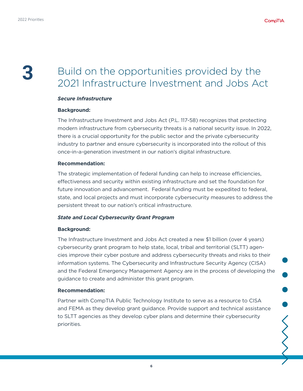## **3** Build on the opportunities provided by the 2021 Infrastructure Investment and Jobs Act

### *Secure Infrastructure*

#### **Background:**

The Infrastructure Investment and Jobs Act (P.L. 117-58) recognizes that protecting modern infrastructure from cybersecurity threats is a national security issue. In 2022, there is a crucial opportunity for the public sector and the private cybersecurity industry to partner and ensure cybersecurity is incorporated into the rollout of this once-in-a-generation investment in our nation's digital infrastructure.

#### **Recommendation:**

The strategic implementation of federal funding can help to increase efficiencies, effectiveness and security within existing infrastructure and set the foundation for future innovation and advancement. Federal funding must be expedited to federal, state, and local projects and must incorporate cybersecurity measures to address the persistent threat to our nation's critical infrastructure.

#### *State and Local Cybersecurity Grant Program*

#### **Background:**

The Infrastructure Investment and Jobs Act created a new \$1 billion (over 4 years) cybersecurity grant program to help state, local, tribal and territorial (SLTT) agencies improve their cyber posture and address cybersecurity threats and risks to their information systems. The Cybersecurity and Infrastructure Security Agency (CISA) and the Federal Emergency Management Agency are in the process of developing the guidance to create and administer this grant program.

#### **Recommendation:**

Partner with CompTIA Public Technology Institute to serve as a resource to CISA and FEMA as they develop grant guidance. Provide support and technical assistance to SLTT agencies as they develop cyber plans and determine their cybersecurity priorities.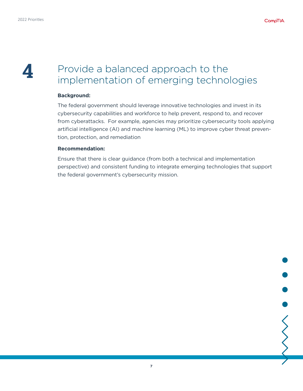

### **4** Provide a balanced approach to the implementation of emerging technologies

#### **Background:**

The federal government should leverage innovative technologies and invest in its cybersecurity capabilities and workforce to help prevent, respond to, and recover from cyberattacks. For example, agencies may prioritize cybersecurity tools applying artificial intelligence (AI) and machine learning (ML) to improve cyber threat prevention, protection, and remediation

#### **Recommendation:**

Ensure that there is clear guidance (from both a technical and implementation perspective) and consistent funding to integrate emerging technologies that support the federal government's cybersecurity mission.

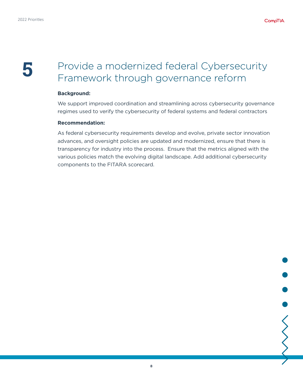### **5** Provide a modernized federal Cybersecurity Framework through governance reform

#### **Background:**

We support improved coordination and streamlining across cybersecurity governance regimes used to verify the cybersecurity of federal systems and federal contractors

#### **Recommendation:**

As federal cybersecurity requirements develop and evolve, private sector innovation advances, and oversight policies are updated and modernized, ensure that there is transparency for industry into the process. Ensure that the metrics aligned with the various policies match the evolving digital landscape. Add additional cybersecurity components to the FITARA scorecard.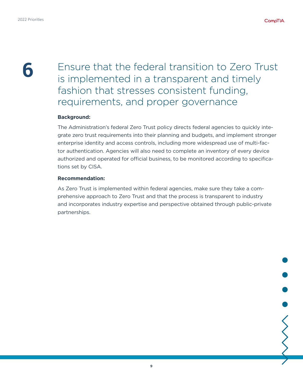**6** Ensure that the federal transition to Zero Trust is implemented in a transparent and timely fashion that stresses consistent funding, requirements, and proper governance

### **Background:**

The Administration's federal Zero Trust policy directs federal agencies to quickly integrate zero trust requirements into their planning and budgets, and implement stronger enterprise identity and access controls, including more widespread use of multi-factor authentication. Agencies will also need to complete an inventory of every device authorized and operated for official business, to be monitored according to specifications set by CISA.

#### **Recommendation:**

As Zero Trust is implemented within federal agencies, make sure they take a comprehensive approach to Zero Trust and that the process is transparent to industry and incorporates industry expertise and perspective obtained through public-private partnerships.